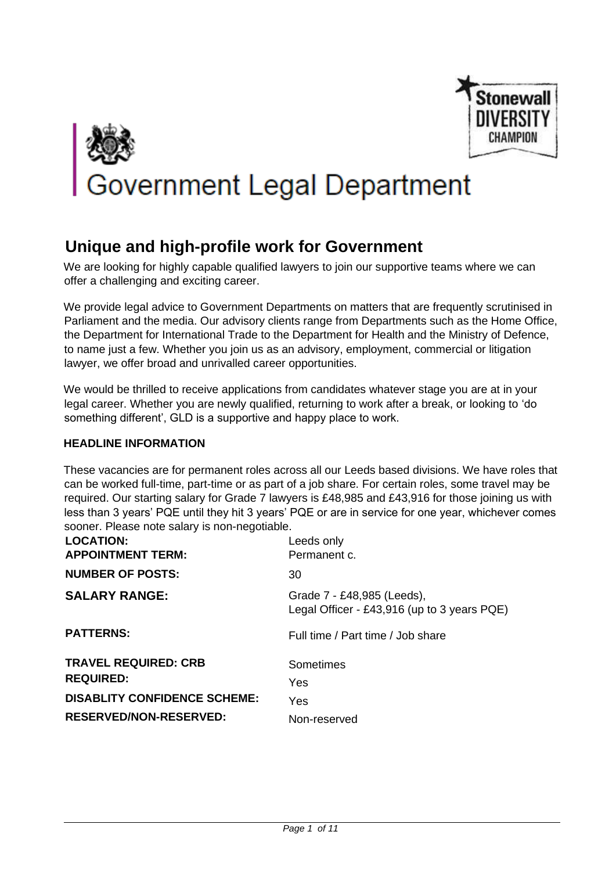

# **Bovernment Legal Department**

# **Unique and high-profile work for Government**

We are looking for highly capable qualified lawyers to join our supportive teams where we can offer a challenging and exciting career.

We provide legal advice to Government Departments on matters that are frequently scrutinised in Parliament and the media. Our advisory clients range from Departments such as the Home Office, the Department for International Trade to the Department for Health and the Ministry of Defence, to name just a few. Whether you join us as an advisory, employment, commercial or litigation lawyer, we offer broad and unrivalled career opportunities.

We would be thrilled to receive applications from candidates whatever stage you are at in your legal career. Whether you are newly qualified, returning to work after a break, or looking to 'do something different', GLD is a supportive and happy place to work.

#### **HEADLINE INFORMATION**

These vacancies are for permanent roles across all our Leeds based divisions. We have roles that can be worked full-time, part-time or as part of a job share. For certain roles, some travel may be required. Our starting salary for Grade 7 lawyers is £48,985 and £43,916 for those joining us with less than 3 years' PQE until they hit 3 years' PQE or are in service for one year, whichever comes sooner. Please note salary is non-negotiable.

| <b>LOCATION:</b><br><b>APPOINTMENT TERM:</b>    | Leeds only<br>Permanent c.                                                |
|-------------------------------------------------|---------------------------------------------------------------------------|
| <b>NUMBER OF POSTS:</b>                         | 30                                                                        |
| <b>SALARY RANGE:</b>                            | Grade 7 - £48,985 (Leeds),<br>Legal Officer - £43,916 (up to 3 years PQE) |
| <b>PATTERNS:</b>                                | Full time / Part time / Job share                                         |
| <b>TRAVEL REQUIRED: CRB</b><br><b>REQUIRED:</b> | Sometimes<br>Yes                                                          |
| <b>DISABLITY CONFIDENCE SCHEME:</b>             | Yes                                                                       |
| <b>RESERVED/NON-RESERVED:</b>                   | Non-reserved                                                              |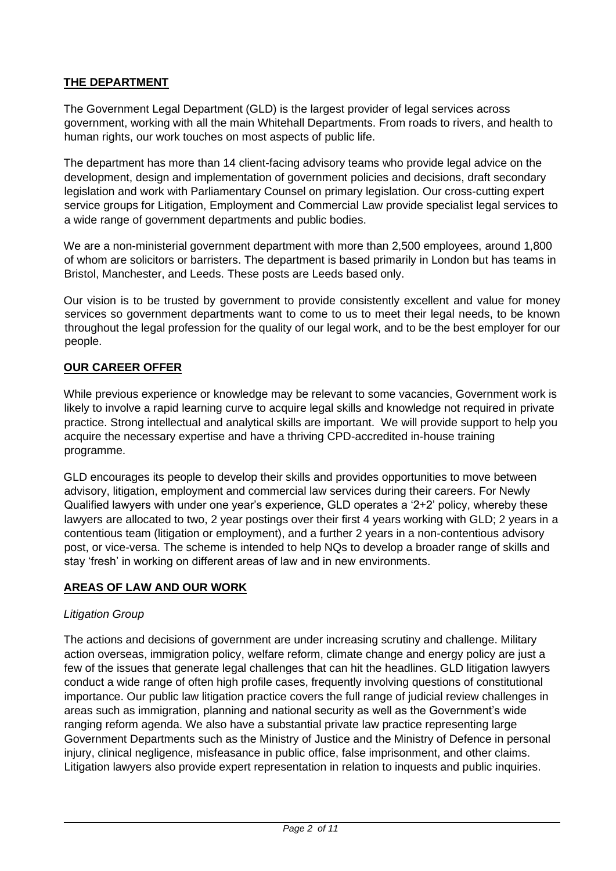# **THE DEPARTMENT**

The Government Legal Department (GLD) is the largest provider of legal services across government, working with all the main Whitehall Departments. From roads to rivers, and health to human rights, our work touches on most aspects of public life.

The department has more than 14 client-facing advisory teams who provide legal advice on the development, design and implementation of government policies and decisions, draft secondary legislation and work with Parliamentary Counsel on primary legislation. Our cross-cutting expert service groups for Litigation, Employment and Commercial Law provide specialist legal services to a wide range of government departments and public bodies.

We are a non-ministerial government department with more than 2,500 employees, around 1,800 of whom are solicitors or barristers. The department is based primarily in London but has teams in Bristol, Manchester, and Leeds. These posts are Leeds based only.

Our vision is to be trusted by government to provide consistently excellent and value for money services so government departments want to come to us to meet their legal needs, to be known throughout the legal profession for the quality of our legal work, and to be the best employer for our people.

# **OUR CAREER OFFER**

While previous experience or knowledge may be relevant to some vacancies, Government work is likely to involve a rapid learning curve to acquire legal skills and knowledge not required in private practice. Strong intellectual and analytical skills are important. We will provide support to help you acquire the necessary expertise and have a thriving CPD-accredited in-house training programme.

GLD encourages its people to develop their skills and provides opportunities to move between advisory, litigation, employment and commercial law services during their careers. For Newly Qualified lawyers with under one year's experience, GLD operates a '2+2' policy, whereby these lawyers are allocated to two, 2 year postings over their first 4 years working with GLD; 2 years in a contentious team (litigation or employment), and a further 2 years in a non-contentious advisory post, or vice-versa. The scheme is intended to help NQs to develop a broader range of skills and stay 'fresh' in working on different areas of law and in new environments.

# **AREAS OF LAW AND OUR WORK**

#### *Litigation Group*

The actions and decisions of government are under increasing scrutiny and challenge. Military action overseas, immigration policy, welfare reform, climate change and energy policy are just a few of the issues that generate legal challenges that can hit the headlines. GLD litigation lawyers conduct a wide range of often high profile cases, frequently involving questions of constitutional importance. Our public law litigation practice covers the full range of judicial review challenges in areas such as immigration, planning and national security as well as the Government's wide ranging reform agenda. We also have a substantial private law practice representing large Government Departments such as the Ministry of Justice and the Ministry of Defence in personal injury, clinical negligence, misfeasance in public office, false imprisonment, and other claims. Litigation lawyers also provide expert representation in relation to inquests and public inquiries.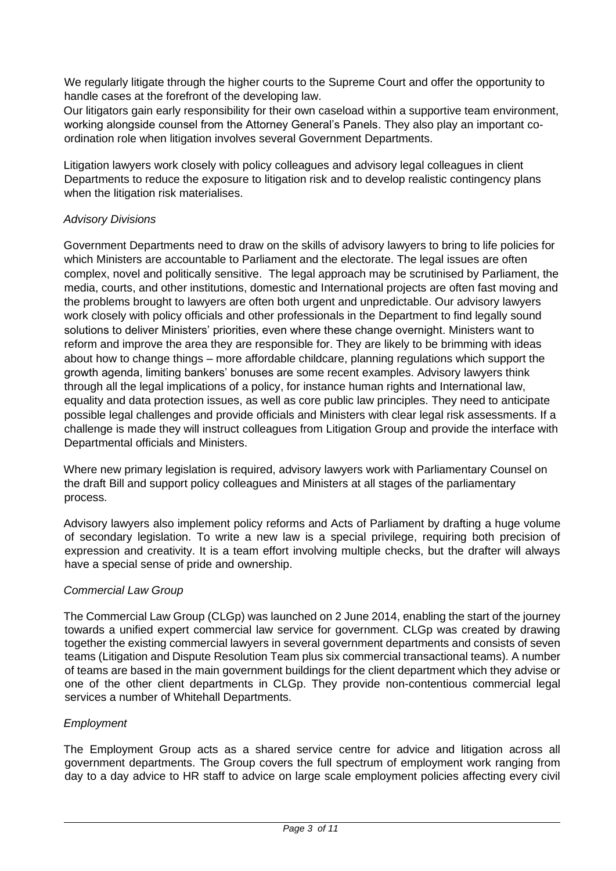We regularly litigate through the higher courts to the Supreme Court and offer the opportunity to handle cases at the forefront of the developing law.

Our litigators gain early responsibility for their own caseload within a supportive team environment, working alongside counsel from the Attorney General's Panels. They also play an important coordination role when litigation involves several Government Departments.

Litigation lawyers work closely with policy colleagues and advisory legal colleagues in client Departments to reduce the exposure to litigation risk and to develop realistic contingency plans when the litigation risk materialises.

# *Advisory Divisions*

Government Departments need to draw on the skills of advisory lawyers to bring to life policies for which Ministers are accountable to Parliament and the electorate. The legal issues are often complex, novel and politically sensitive. The legal approach may be scrutinised by Parliament, the media, courts, and other institutions, domestic and International projects are often fast moving and the problems brought to lawyers are often both urgent and unpredictable. Our advisory lawyers work closely with policy officials and other professionals in the Department to find legally sound solutions to deliver Ministers' priorities, even where these change overnight. Ministers want to reform and improve the area they are responsible for. They are likely to be brimming with ideas about how to change things – more affordable childcare, planning regulations which support the growth agenda, limiting bankers' bonuses are some recent examples. Advisory lawyers think through all the legal implications of a policy, for instance human rights and International law, equality and data protection issues, as well as core public law principles. They need to anticipate possible legal challenges and provide officials and Ministers with clear legal risk assessments. If a challenge is made they will instruct colleagues from Litigation Group and provide the interface with Departmental officials and Ministers.

Where new primary legislation is required, advisory lawyers work with Parliamentary Counsel on the draft Bill and support policy colleagues and Ministers at all stages of the parliamentary process.

Advisory lawyers also implement policy reforms and Acts of Parliament by drafting a huge volume of secondary legislation. To write a new law is a special privilege, requiring both precision of expression and creativity. It is a team effort involving multiple checks, but the drafter will always have a special sense of pride and ownership.

# *Commercial Law Group*

The Commercial Law Group (CLGp) was launched on 2 June 2014, enabling the start of the journey towards a unified expert commercial law service for government. CLGp was created by drawing together the existing commercial lawyers in several government departments and consists of seven teams (Litigation and Dispute Resolution Team plus six commercial transactional teams). A number of teams are based in the main government buildings for the client department which they advise or one of the other client departments in CLGp. They provide non-contentious commercial legal services a number of Whitehall Departments.

# *Employment*

The Employment Group acts as a shared service centre for advice and litigation across all government departments. The Group covers the full spectrum of employment work ranging from day to a day advice to HR staff to advice on large scale employment policies affecting every civil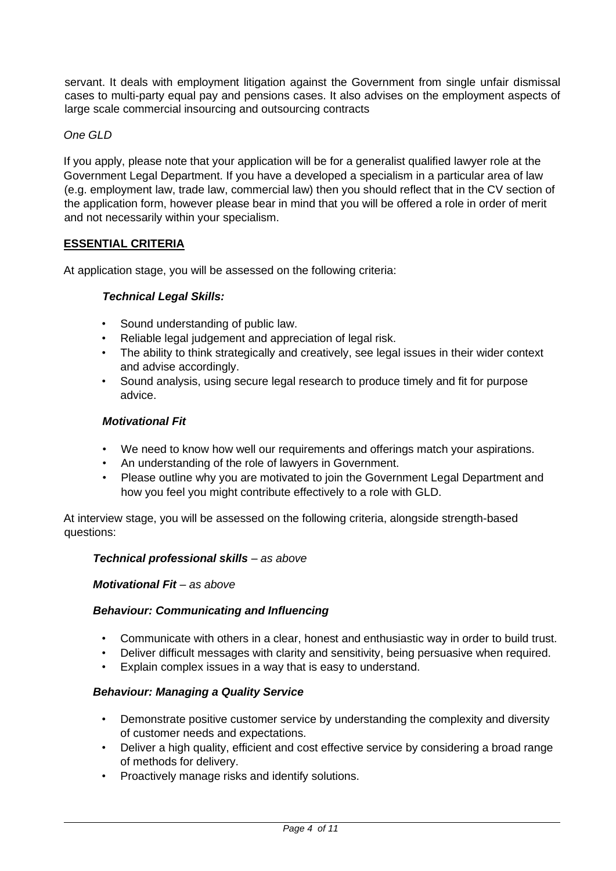servant. It deals with employment litigation against the Government from single unfair dismissal cases to multi-party equal pay and pensions cases. It also advises on the employment aspects of large scale commercial insourcing and outsourcing contracts

# *One GLD*

If you apply, please note that your application will be for a generalist qualified lawyer role at the Government Legal Department. If you have a developed a specialism in a particular area of law (e.g. employment law, trade law, commercial law) then you should reflect that in the CV section of the application form, however please bear in mind that you will be offered a role in order of merit and not necessarily within your specialism.

# **ESSENTIAL CRITERIA**

At application stage, you will be assessed on the following criteria:

# *Technical Legal Skills:*

- Sound understanding of public law.
- Reliable legal judgement and appreciation of legal risk.
- The ability to think strategically and creatively, see legal issues in their wider context and advise accordingly.
- Sound analysis, using secure legal research to produce timely and fit for purpose advice.

#### *Motivational Fit*

- We need to know how well our requirements and offerings match your aspirations.
- An understanding of the role of lawyers in Government.
- Please outline why you are motivated to join the Government Legal Department and how you feel you might contribute effectively to a role with GLD.

At interview stage, you will be assessed on the following criteria, alongside strength-based questions:

#### *Technical professional skills – as above*

#### *Motivational Fit – as above*

#### *Behaviour: Communicating and Influencing*

- Communicate with others in a clear, honest and enthusiastic way in order to build trust.
- Deliver difficult messages with clarity and sensitivity, being persuasive when required.
- Explain complex issues in a way that is easy to understand.

#### *Behaviour: Managing a Quality Service*

- Demonstrate positive customer service by understanding the complexity and diversity of customer needs and expectations.
- Deliver a high quality, efficient and cost effective service by considering a broad range of methods for delivery.
- Proactively manage risks and identify solutions.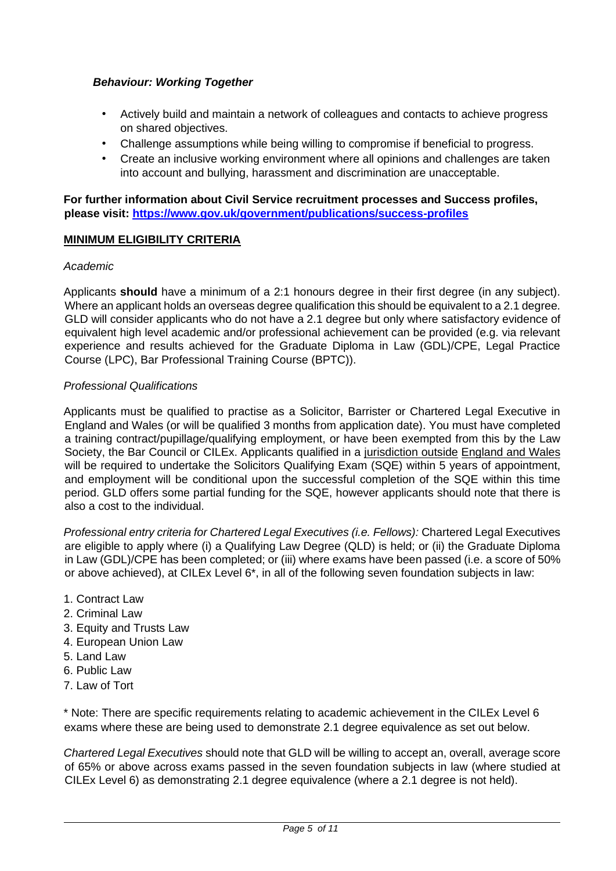# *Behaviour: Working Together*

- Actively build and maintain a network of colleagues and contacts to achieve progress on shared objectives.
- Challenge assumptions while being willing to compromise if beneficial to progress.
- Create an inclusive working environment where all opinions and challenges are taken into account and bullying, harassment and discrimination are unacceptable.

**For further information about Civil Service recruitment processes and Success profiles, please visit:<https://www.gov.uk/government/publications/success-profiles>**

#### **MINIMUM ELIGIBILITY CRITERIA**

#### *Academic*

Applicants **should** have a minimum of a 2:1 honours degree in their first degree (in any subject). Where an applicant holds an overseas degree qualification this should be equivalent to a 2.1 degree. GLD will consider applicants who do not have a 2.1 degree but only where satisfactory evidence of equivalent high level academic and/or professional achievement can be provided (e.g. via relevant experience and results achieved for the Graduate Diploma in Law (GDL)/CPE, Legal Practice Course (LPC), Bar Professional Training Course (BPTC)).

#### *Professional Qualifications*

Applicants must be qualified to practise as a Solicitor, Barrister or Chartered Legal Executive in England and Wales (or will be qualified 3 months from application date). You must have completed a training contract/pupillage/qualifying employment, or have been exempted from this by the Law Society, the Bar Council or CILEx. Applicants qualified in a jurisdiction outside England and Wales will be required to undertake the Solicitors Qualifying Exam (SQE) within 5 years of appointment, and employment will be conditional upon the successful completion of the SQE within this time period. GLD offers some partial funding for the SQE, however applicants should note that there is also a cost to the individual.

*Professional entry criteria for Chartered Legal Executives (i.e. Fellows):* Chartered Legal Executives are eligible to apply where (i) a Qualifying Law Degree (QLD) is held; or (ii) the Graduate Diploma in Law (GDL)/CPE has been completed; or (iii) where exams have been passed (i.e. a score of 50% or above achieved), at CILEx Level 6\*, in all of the following seven foundation subjects in law:

- 1. Contract Law
- 2. Criminal Law
- 3. Equity and Trusts Law
- 4. European Union Law
- 5. Land Law
- 6. Public Law
- 7. Law of Tort

\* Note: There are specific requirements relating to academic achievement in the CILEx Level 6 exams where these are being used to demonstrate 2.1 degree equivalence as set out below.

*Chartered Legal Executives* should note that GLD will be willing to accept an, overall, average score of 65% or above across exams passed in the seven foundation subjects in law (where studied at CILEx Level 6) as demonstrating 2.1 degree equivalence (where a 2.1 degree is not held).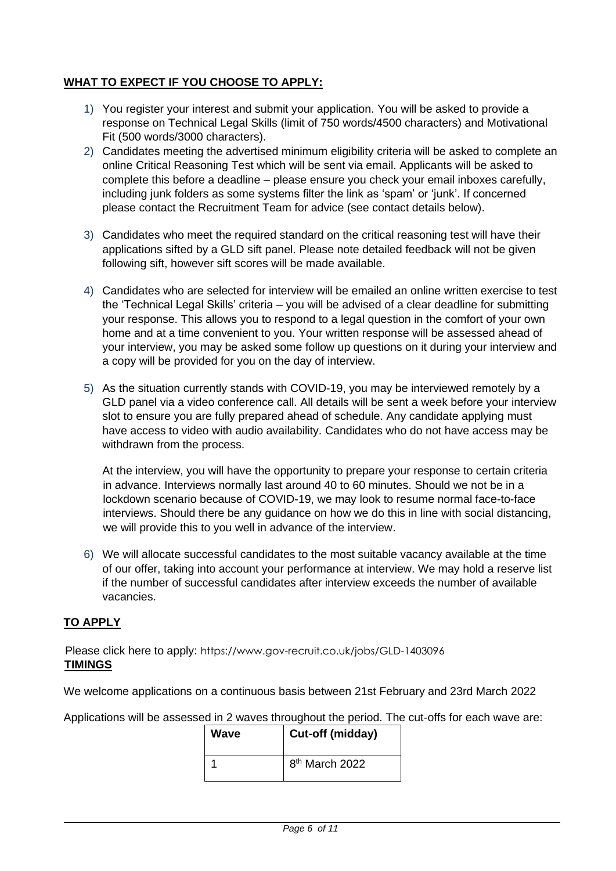# **WHAT TO EXPECT IF YOU CHOOSE TO APPLY:**

- 1) You register your interest and submit your application. You will be asked to provide a response on Technical Legal Skills (limit of 750 words/4500 characters) and Motivational Fit (500 words/3000 characters).
- 2) Candidates meeting the advertised minimum eligibility criteria will be asked to complete an online Critical Reasoning Test which will be sent via email. Applicants will be asked to complete this before a deadline – please ensure you check your email inboxes carefully, including junk folders as some systems filter the link as 'spam' or 'junk'. If concerned please contact the Recruitment Team for advice (see contact details below).
- 3) Candidates who meet the required standard on the critical reasoning test will have their applications sifted by a GLD sift panel. Please note detailed feedback will not be given following sift, however sift scores will be made available.
- 4) Candidates who are selected for interview will be emailed an online written exercise to test the 'Technical Legal Skills' criteria – you will be advised of a clear deadline for submitting your response. This allows you to respond to a legal question in the comfort of your own home and at a time convenient to you. Your written response will be assessed ahead of your interview, you may be asked some follow up questions on it during your interview and a copy will be provided for you on the day of interview.
- 5) As the situation currently stands with COVID-19, you may be interviewed remotely by a GLD panel via a video conference call. All details will be sent a week before your interview slot to ensure you are fully prepared ahead of schedule. Any candidate applying must have access to video with audio availability. Candidates who do not have access may be withdrawn from the process.

At the interview, you will have the opportunity to prepare your response to certain criteria in advance. Interviews normally last around 40 to 60 minutes. Should we not be in a lockdown scenario because of COVID-19, we may look to resume normal face-to-face interviews. Should there be any guidance on how we do this in line with social distancing, we will provide this to you well in advance of the interview.

6) We will allocate successful candidates to the most suitable vacancy available at the time of our offer, taking into account your performance at interview. We may hold a reserve list if the number of successful candidates after interview exceeds the number of available vacancies.

# **TO APPLY**

Please click here to apply: [https://www.gov-recruit.co.uk/jobs/GLD-140309](https://www.gov-recruit.co.uk/jobs/GLD-1403096)[6](https://www.gov-recruit.co.uk/jobs/GLD-1402922)  **TIMINGS** 

We welcome applications on a continuous basis between 21st February and 23rd March 2022

Applications will be assessed in 2 waves throughout the period. The cut-offs for each wave are:

| Wave | Cut-off (midday)           |
|------|----------------------------|
|      | 8 <sup>th</sup> March 2022 |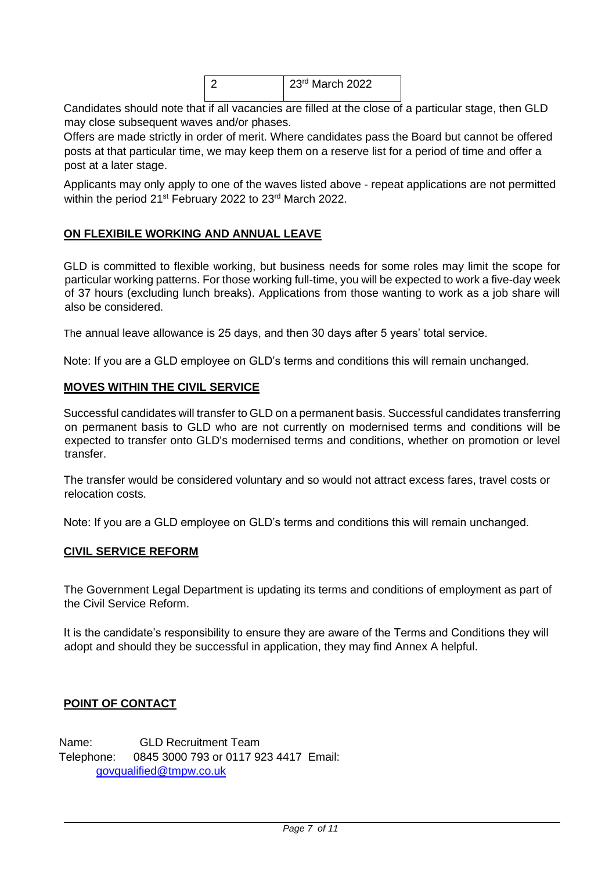| 23rd March 2022 |
|-----------------|
|                 |

Candidates should note that if all vacancies are filled at the close of a particular stage, then GLD may close subsequent waves and/or phases.

Offers are made strictly in order of merit. Where candidates pass the Board but cannot be offered posts at that particular time, we may keep them on a reserve list for a period of time and offer a post at a later stage.

Applicants may only apply to one of the waves listed above - repeat applications are not permitted within the period 21<sup>st</sup> February 2022 to 23<sup>rd</sup> March 2022.

#### **ON FLEXIBILE WORKING AND ANNUAL LEAVE**

GLD is committed to flexible working, but business needs for some roles may limit the scope for particular working patterns. For those working full-time, you will be expected to work a five-day week of 37 hours (excluding lunch breaks). Applications from those wanting to work as a job share will also be considered.

The annual leave allowance is 25 days, and then 30 days after 5 years' total service.

Note: If you are a GLD employee on GLD's terms and conditions this will remain unchanged.

#### **MOVES WITHIN THE CIVIL SERVICE**

Successful candidates will transfer to GLD on a permanent basis. Successful candidates transferring on permanent basis to GLD who are not currently on modernised terms and conditions will be expected to transfer onto GLD's modernised terms and conditions, whether on promotion or level transfer.

The transfer would be considered voluntary and so would not attract excess fares, travel costs or relocation costs.

Note: If you are a GLD employee on GLD's terms and conditions this will remain unchanged.

#### **CIVIL SERVICE REFORM**

The Government Legal Department is updating its terms and conditions of employment as part of the Civil Service Reform.

It is the candidate's responsibility to ensure they are aware of the Terms and Conditions they will adopt and should they be successful in application, they may find Annex A helpful.

#### **POINT OF CONTACT**

Name: GLD Recruitment Team Telephone: 0845 3000 793 or 0117 923 4417 Email: govqualified@tmpw.co.uk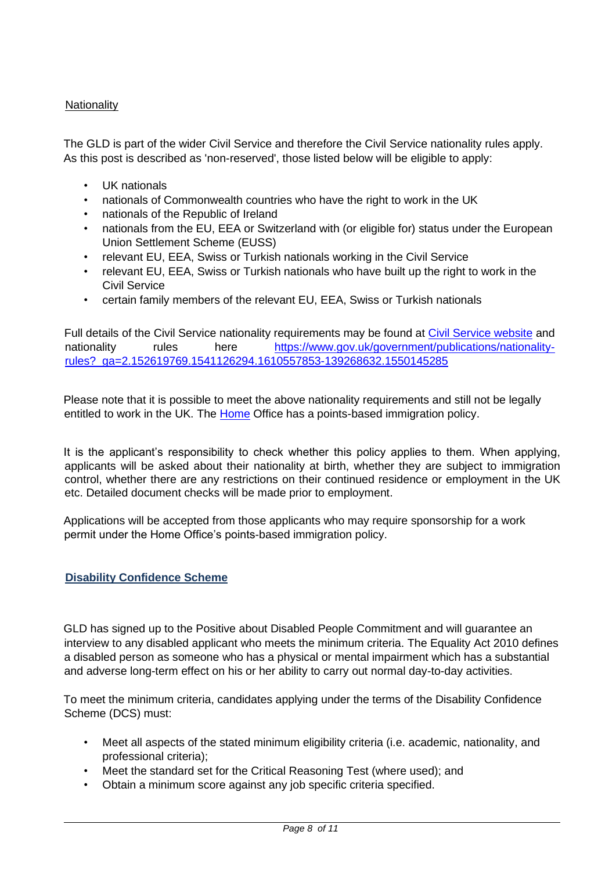# **Nationality**

The GLD is part of the wider Civil Service and therefore the Civil Service nationality rules apply. As this post is described as 'non-reserved', those listed below will be eligible to apply:

- UK nationals
- nationals of Commonwealth countries who have the right to work in the UK
- nationals of the Republic of Ireland
- nationals from the EU, EEA or Switzerland with (or eligible for) status under the European Union Settlement Scheme (EUSS)
- relevant EU, EEA, Swiss or Turkish nationals working in the Civil Service
- relevant EU, EEA, Swiss or Turkish nationals who have built up the right to work in the Civil Service
- certain family members of the relevant EU, EEA, Swiss or Turkish nationals

Full details of the Civil Service nationality requirements may be found at [Civil Service website](https://www.gov.uk/government/publications/nationality-rules?_ga=2.143796597.1541126294.1610557853-139268632.1550145285) [and](https://www.gov.uk/government/publications/nationality-rules?_ga=2.143796597.1541126294.1610557853-139268632.1550145285) nationality rules here [https://www.gov.uk/government/publications/nationality](https://www.gov.uk/government/publications/nationality-rules?_ga=2.152619769.1541126294.1610557853-139268632.1550145285)[rules?\\_ga=2.152619769.1541126294.1610557853-139268632.1550145285](https://www.gov.uk/government/publications/nationality-rules?_ga=2.152619769.1541126294.1610557853-139268632.1550145285)

Please note that it is possible to meet the above nationality requirements and still not be legally entitled to work in the UK. The [Home](http://www.ukba.homeoffice.gov.uk/visas-immigration/working/) [Off](http://www.ukba.homeoffice.gov.uk/visas-immigration/working/)ice has a points-based immigration policy.

It is the applicant's responsibility to check whether this policy applies to them. When applying, applicants will be asked about their nationality at birth, whether they are subject to immigration control, whether there are any restrictions on their continued residence or employment in the UK etc. Detailed document checks will be made prior to employment.

Applications will be accepted from those applicants who may require sponsorship for a work permit under the Home Office's points-based immigration policy.

# **Disability Confidence Scheme**

GLD has signed up to the Positive about Disabled People Commitment and will guarantee an interview to any disabled applicant who meets the minimum criteria. The Equality Act 2010 defines a disabled person as someone who has a physical or mental impairment which has a substantial and adverse long-term effect on his or her ability to carry out normal day-to-day activities.

To meet the minimum criteria, candidates applying under the terms of the Disability Confidence Scheme (DCS) must:

- Meet all aspects of the stated minimum eligibility criteria (i.e. academic, nationality, and professional criteria);
- Meet the standard set for the Critical Reasoning Test (where used); and
- Obtain a minimum score against any job specific criteria specified.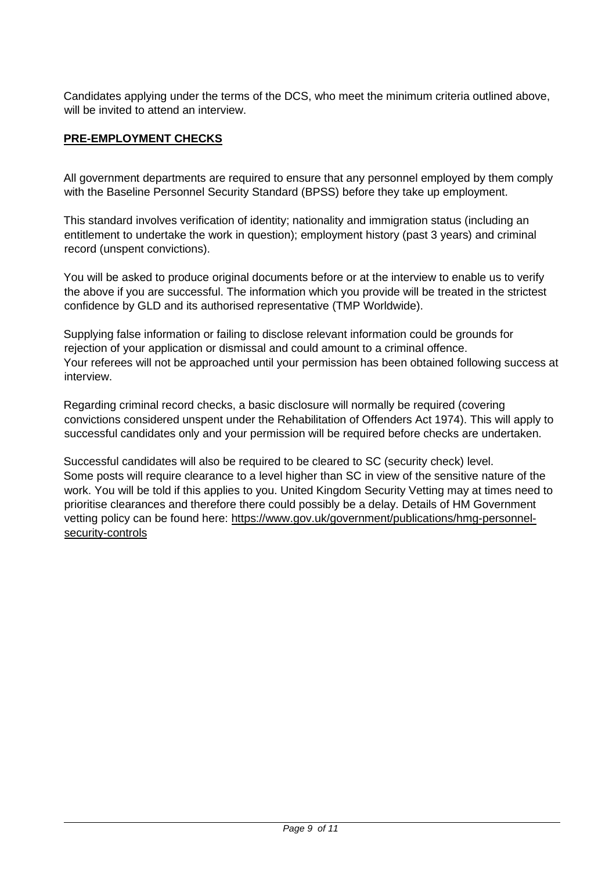Candidates applying under the terms of the DCS, who meet the minimum criteria outlined above, will be invited to attend an interview.

# **PRE-EMPLOYMENT CHECKS**

All government departments are required to ensure that any personnel employed by them comply with the Baseline Personnel Security Standard (BPSS) before they take up employment.

This standard involves verification of identity; nationality and immigration status (including an entitlement to undertake the work in question); employment history (past 3 years) and criminal record (unspent convictions).

You will be asked to produce original documents before or at the interview to enable us to verify the above if you are successful. The information which you provide will be treated in the strictest confidence by GLD and its authorised representative (TMP Worldwide).

Supplying false information or failing to disclose relevant information could be grounds for rejection of your application or dismissal and could amount to a criminal offence. Your referees will not be approached until your permission has been obtained following success at interview.

Regarding criminal record checks, a basic disclosure will normally be required (covering convictions considered unspent under the Rehabilitation of Offenders Act 1974). This will apply to successful candidates only and your permission will be required before checks are undertaken.

Successful candidates will also be required to be cleared to SC (security check) level. Some posts will require clearance to a level higher than SC in view of the sensitive nature of the work. You will be told if this applies to you. United Kingdom Security Vetting may at times need to prioritise clearances and therefore there could possibly be a delay. Details of HM Government vetting policy can be found here[:](https://www.gov.uk/government/publications/hmg-personnel-security-controls) [https://www.gov.uk/government/publications/hmg-personnel](https://www.gov.uk/government/publications/hmg-personnel-security-controls)[security-controls](https://www.gov.uk/government/publications/hmg-personnel-security-controls)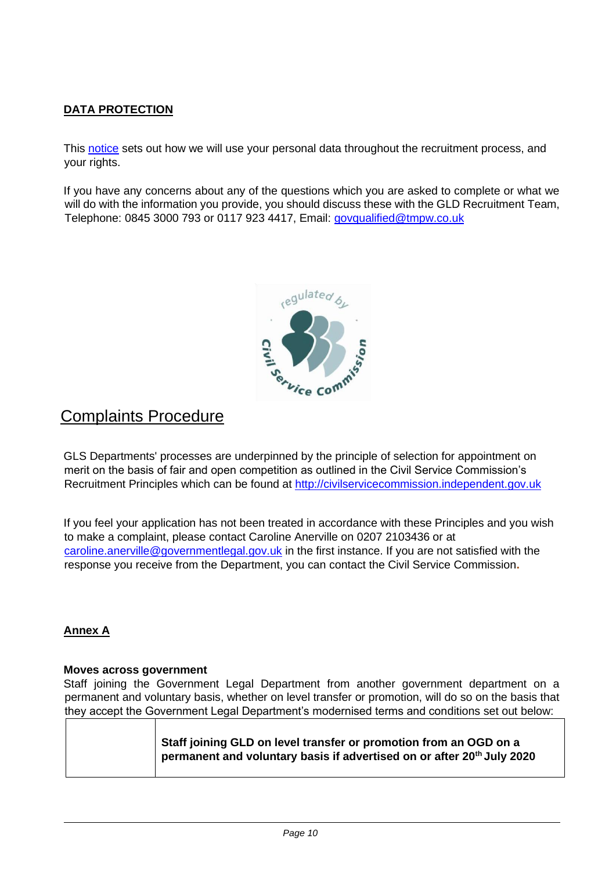# **DATA PROTECTION**

This [notice](https://www.civilservicejobs.service.gov.uk/csr/index.cgi?pageclass=StandardMessage&display=privacy) [set](https://www.civilservicejobs.service.gov.uk/csr/index.cgi?pageclass=StandardMessage&display=privacy)s out how we will use your personal data throughout the recruitment process, and your rights.

If you have any concerns about any of the questions which you are asked to complete or what we will do with the information you provide, you should discuss these with the GLD Recruitment Team, Telephone: 0845 3000 793 or 0117 923 4417, Email: govqualified@tmpw.co.uk



# Complaints Procedure

GLS Departments' processes are underpinned by the principle of selection for appointment on merit on the basis of fair and open competition as outlined in the Civil Service Commission's Recruitment Principles which can be found at [http://civilservicecommission.independent.gov.uk](http://civilservicecommission.independent.gov.uk/)

If you feel your application has not been treated in accordance with these Principles and you wish to make a complaint, please contact Caroline Anerville on 0207 2103436 or at caroline.anerville@governmentlegal.gov.uk in the first instance. If you are not satisfied with the response you receive from the Department, you can contact the Civil Service Commission**.** 

# **Annex A**

#### **Moves across government**

Staff joining the Government Legal Department from another government department on a permanent and voluntary basis, whether on level transfer or promotion, will do so on the basis that they accept the Government Legal Department's modernised terms and conditions set out below:

|  | Staff joining GLD on level transfer or promotion from an OGD on a                  |
|--|------------------------------------------------------------------------------------|
|  | permanent and voluntary basis if advertised on or after 20 <sup>th</sup> July 2020 |
|  |                                                                                    |